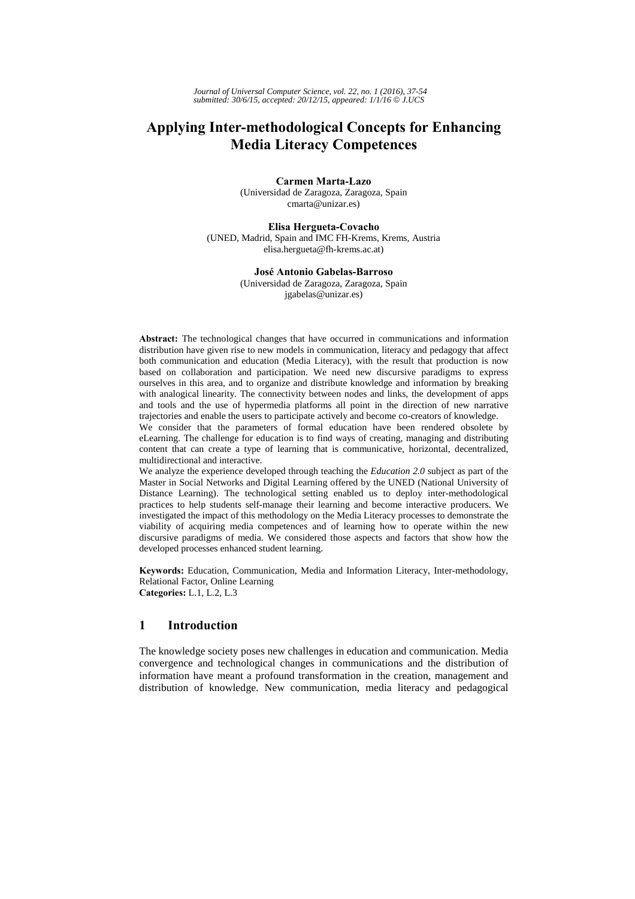# **Applying Inter-methodological Concepts for Enhancing Media Literacy Competences**

**Carmen Marta-Lazo**  (Universidad de Zaragoza, Zaragoza, Spain cmarta@unizar.es)

**Elisa Hergueta-Covacho**  (UNED, Madrid, Spain and IMC FH-Krems, Krems, Austria elisa.hergueta@fh-krems.ac.at)

> **José Antonio Gabelas-Barroso** (Universidad de Zaragoza, Zaragoza, Spain

jgabelas@unizar.es)

**Abstract:** The technological changes that have occurred in communications and information distribution have given rise to new models in communication, literacy and pedagogy that affect both communication and education (Media Literacy), with the result that production is now based on collaboration and participation. We need new discursive paradigms to express ourselves in this area, and to organize and distribute knowledge and information by breaking with analogical linearity. The connectivity between nodes and links, the development of apps and tools and the use of hypermedia platforms all point in the direction of new narrative trajectories and enable the users to participate actively and become co-creators of knowledge.

We consider that the parameters of formal education have been rendered obsolete by eLearning. The challenge for education is to find ways of creating, managing and distributing content that can create a type of learning that is communicative, horizontal, decentralized, multidirectional and interactive.

We analyze the experience developed through teaching the *Education 2.0* subject as part of the Master in Social Networks and Digital Learning offered by the UNED (National University of Distance Learning). The technological setting enabled us to deploy inter-methodological practices to help students self-manage their learning and become interactive producers. We investigated the impact of this methodology on the Media Literacy processes to demonstrate the viability of acquiring media competences and of learning how to operate within the new discursive paradigms of media. We considered those aspects and factors that show how the developed processes enhanced student learning.

**Keywords:** Education, Communication, Media and Information Literacy, Inter-methodology, Relational Factor, Online Learning **Categories:** L.1, L.2, L.3

### **1 Introduction**

The knowledge society poses new challenges in education and communication. Media convergence and technological changes in communications and the distribution of information have meant a profound transformation in the creation, management and distribution of knowledge. New communication, media literacy and pedagogical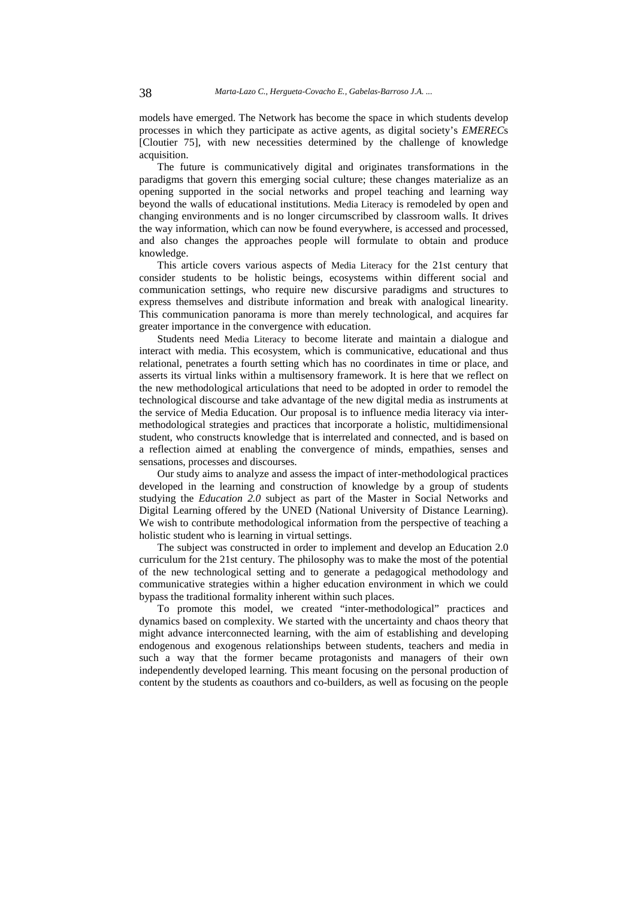models have emerged. The Network has become the space in which students develop processes in which they participate as active agents, as digital society's *EMEREC*s [Cloutier 75], with new necessities determined by the challenge of knowledge acquisition.

The future is communicatively digital and originates transformations in the paradigms that govern this emerging social culture; these changes materialize as an opening supported in the social networks and propel teaching and learning way beyond the walls of educational institutions. Media Literacy is remodeled by open and changing environments and is no longer circumscribed by classroom walls. It drives the way information, which can now be found everywhere, is accessed and processed, and also changes the approaches people will formulate to obtain and produce knowledge.

This article covers various aspects of Media Literacy for the 21st century that consider students to be holistic beings, ecosystems within different social and communication settings, who require new discursive paradigms and structures to express themselves and distribute information and break with analogical linearity. This communication panorama is more than merely technological, and acquires far greater importance in the convergence with education.

Students need Media Literacy to become literate and maintain a dialogue and interact with media. This ecosystem, which is communicative, educational and thus relational, penetrates a fourth setting which has no coordinates in time or place, and asserts its virtual links within a multisensory framework. It is here that we reflect on the new methodological articulations that need to be adopted in order to remodel the technological discourse and take advantage of the new digital media as instruments at the service of Media Education. Our proposal is to influence media literacy via intermethodological strategies and practices that incorporate a holistic, multidimensional student, who constructs knowledge that is interrelated and connected, and is based on a reflection aimed at enabling the convergence of minds, empathies, senses and sensations, processes and discourses.

Our study aims to analyze and assess the impact of inter-methodological practices developed in the learning and construction of knowledge by a group of students studying the *Education 2.0* subject as part of the Master in Social Networks and Digital Learning offered by the UNED (National University of Distance Learning). We wish to contribute methodological information from the perspective of teaching a holistic student who is learning in virtual settings.

The subject was constructed in order to implement and develop an Education 2.0 curriculum for the 21st century. The philosophy was to make the most of the potential of the new technological setting and to generate a pedagogical methodology and communicative strategies within a higher education environment in which we could bypass the traditional formality inherent within such places.

To promote this model, we created "inter-methodological" practices and dynamics based on complexity. We started with the uncertainty and chaos theory that might advance interconnected learning, with the aim of establishing and developing endogenous and exogenous relationships between students, teachers and media in such a way that the former became protagonists and managers of their own independently developed learning. This meant focusing on the personal production of content by the students as coauthors and co-builders, as well as focusing on the people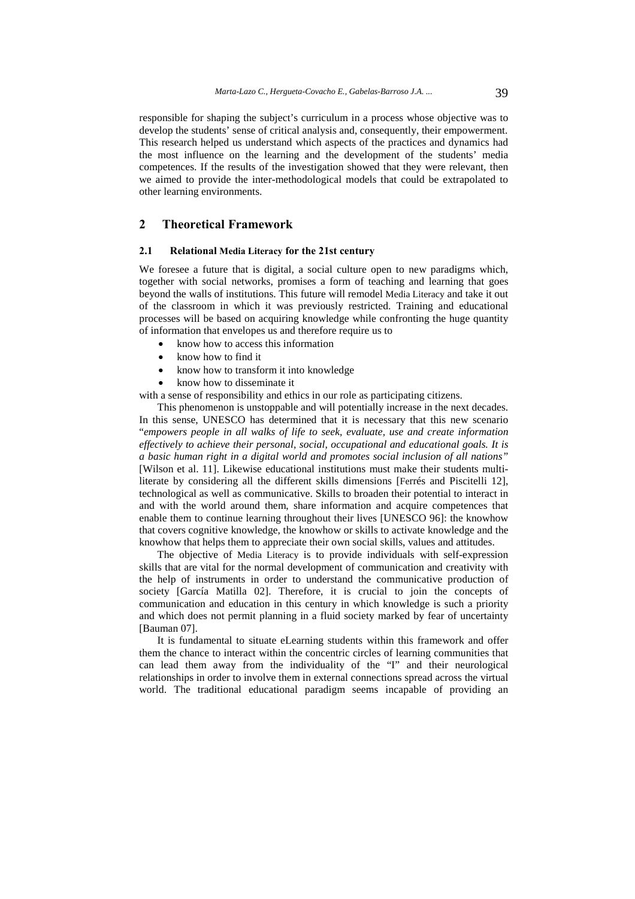responsible for shaping the subject's curriculum in a process whose objective was to develop the students' sense of critical analysis and, consequently, their empowerment. This research helped us understand which aspects of the practices and dynamics had the most influence on the learning and the development of the students' media competences. If the results of the investigation showed that they were relevant, then we aimed to provide the inter-methodological models that could be extrapolated to other learning environments.

### **2 Theoretical Framework**

#### **2.1 Relational Media Literacy for the 21st century**

We foresee a future that is digital, a social culture open to new paradigms which, together with social networks, promises a form of teaching and learning that goes beyond the walls of institutions. This future will remodel Media Literacy and take it out of the classroom in which it was previously restricted. Training and educational processes will be based on acquiring knowledge while confronting the huge quantity of information that envelopes us and therefore require us to

- know how to access this information
- know how to find it
- know how to transform it into knowledge
- know how to disseminate it

with a sense of responsibility and ethics in our role as participating citizens.

This phenomenon is unstoppable and will potentially increase in the next decades. In this sense, UNESCO has determined that it is necessary that this new scenario "*empowers people in all walks of life to seek, evaluate, use and create information effectively to achieve their personal, social, occupational and educational goals. It is a basic human right in a digital world and promotes social inclusion of all nations"* [Wilson et al. 11]. Likewise educational institutions must make their students multiliterate by considering all the different skills dimensions [Ferrés and Piscitelli 12], technological as well as communicative. Skills to broaden their potential to interact in and with the world around them, share information and acquire competences that enable them to continue learning throughout their lives [UNESCO 96]: the knowhow that covers cognitive knowledge, the knowhow or skills to activate knowledge and the knowhow that helps them to appreciate their own social skills, values and attitudes.

The objective of Media Literacy is to provide individuals with self-expression skills that are vital for the normal development of communication and creativity with the help of instruments in order to understand the communicative production of society [García Matilla 02]. Therefore, it is crucial to join the concepts of communication and education in this century in which knowledge is such a priority and which does not permit planning in a fluid society marked by fear of uncertainty [Bauman 07].

It is fundamental to situate eLearning students within this framework and offer them the chance to interact within the concentric circles of learning communities that can lead them away from the individuality of the "I" and their neurological relationships in order to involve them in external connections spread across the virtual world. The traditional educational paradigm seems incapable of providing an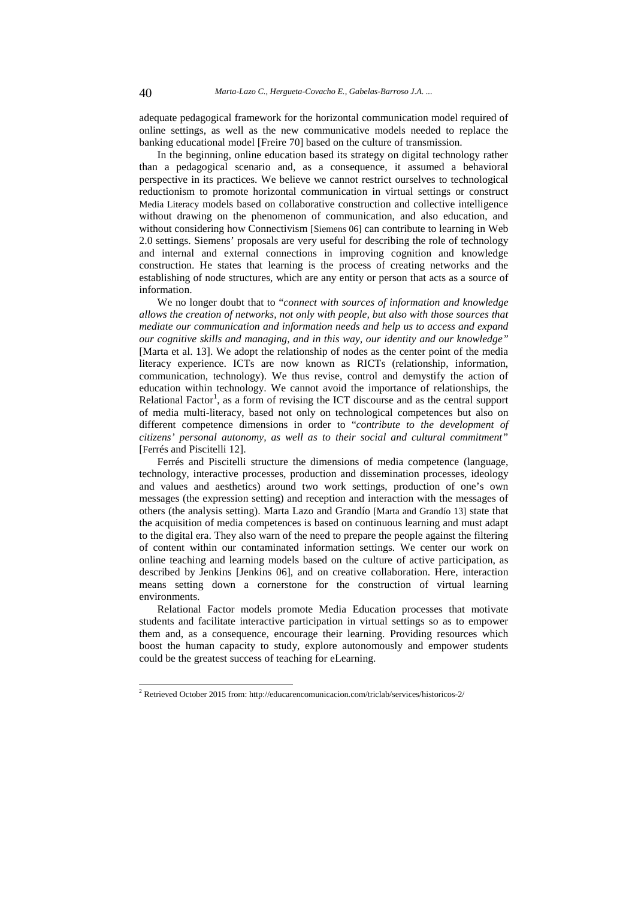adequate pedagogical framework for the horizontal communication model required of online settings, as well as the new communicative models needed to replace the banking educational model [Freire 70] based on the culture of transmission.

In the beginning, online education based its strategy on digital technology rather than a pedagogical scenario and, as a consequence, it assumed a behavioral perspective in its practices. We believe we cannot restrict ourselves to technological reductionism to promote horizontal communication in virtual settings or construct Media Literacy models based on collaborative construction and collective intelligence without drawing on the phenomenon of communication, and also education, and without considering how Connectivism [Siemens 06] can contribute to learning in Web 2.0 settings. Siemens' proposals are very useful for describing the role of technology and internal and external connections in improving cognition and knowledge construction. He states that learning is the process of creating networks and the establishing of node structures, which are any entity or person that acts as a source of information.

We no longer doubt that to "*connect with sources of information and knowledge allows the creation of networks, not only with people, but also with those sources that mediate our communication and information needs and help us to access and expand our cognitive skills and managing, and in this way, our identity and our knowledge"* [Marta et al. 13]. We adopt the relationship of nodes as the center point of the media literacy experience. ICTs are now known as RICTs (relationship, information, communication, technology). We thus revise, control and demystify the action of education within technology. We cannot avoid the importance of relationships, the Relational Factor<sup>1</sup>, as a form of revising the ICT discourse and as the central support of media multi-literacy, based not only on technological competences but also on different competence dimensions in order to "*contribute to the development of citizens' personal autonomy, as well as to their social and cultural commitment"* [Ferrés and Piscitelli 12].

Ferrés and Piscitelli structure the dimensions of media competence (language, technology, interactive processes, production and dissemination processes, ideology and values and aesthetics) around two work settings, production of one's own messages (the expression setting) and reception and interaction with the messages of others (the analysis setting). Marta Lazo and Grandío [Marta and Grandío 13] state that the acquisition of media competences is based on continuous learning and must adapt to the digital era. They also warn of the need to prepare the people against the filtering of content within our contaminated information settings. We center our work on online teaching and learning models based on the culture of active participation, as described by Jenkins [Jenkins 06], and on creative collaboration. Here, interaction means setting down a cornerstone for the construction of virtual learning environments.

Relational Factor models promote Media Education processes that motivate students and facilitate interactive participation in virtual settings so as to empower them and, as a consequence, encourage their learning. Providing resources which boost the human capacity to study, explore autonomously and empower students could be the greatest success of teaching for eLearning.

l

<sup>&</sup>lt;sup>2</sup> Retrieved October 2015 from: http://educarencomunicacion.com/triclab/services/historicos-2/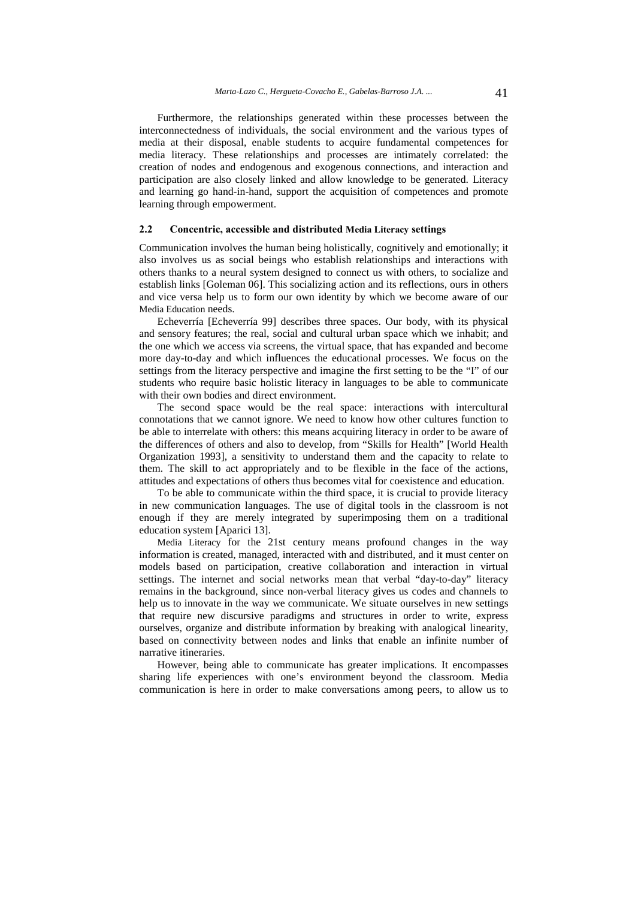Furthermore, the relationships generated within these processes between the interconnectedness of individuals, the social environment and the various types of media at their disposal, enable students to acquire fundamental competences for media literacy. These relationships and processes are intimately correlated: the creation of nodes and endogenous and exogenous connections, and interaction and participation are also closely linked and allow knowledge to be generated. Literacy and learning go hand-in-hand, support the acquisition of competences and promote learning through empowerment.

#### **2.2 Concentric, accessible and distributed Media Literacy settings**

Communication involves the human being holistically, cognitively and emotionally; it also involves us as social beings who establish relationships and interactions with others thanks to a neural system designed to connect us with others, to socialize and establish links [Goleman 06]. This socializing action and its reflections, ours in others and vice versa help us to form our own identity by which we become aware of our Media Education needs.

Echeverría [Echeverría 99] describes three spaces. Our body, with its physical and sensory features; the real, social and cultural urban space which we inhabit; and the one which we access via screens, the virtual space, that has expanded and become more day-to-day and which influences the educational processes. We focus on the settings from the literacy perspective and imagine the first setting to be the "I" of our students who require basic holistic literacy in languages to be able to communicate with their own bodies and direct environment.

The second space would be the real space: interactions with intercultural connotations that we cannot ignore. We need to know how other cultures function to be able to interrelate with others: this means acquiring literacy in order to be aware of the differences of others and also to develop, from "Skills for Health" [World Health Organization 1993], a sensitivity to understand them and the capacity to relate to them. The skill to act appropriately and to be flexible in the face of the actions, attitudes and expectations of others thus becomes vital for coexistence and education.

To be able to communicate within the third space, it is crucial to provide literacy in new communication languages. The use of digital tools in the classroom is not enough if they are merely integrated by superimposing them on a traditional education system [Aparici 13].

Media Literacy for the 21st century means profound changes in the way information is created, managed, interacted with and distributed, and it must center on models based on participation, creative collaboration and interaction in virtual settings. The internet and social networks mean that verbal "day-to-day" literacy remains in the background, since non-verbal literacy gives us codes and channels to help us to innovate in the way we communicate. We situate ourselves in new settings that require new discursive paradigms and structures in order to write, express ourselves, organize and distribute information by breaking with analogical linearity, based on connectivity between nodes and links that enable an infinite number of narrative itineraries.

However, being able to communicate has greater implications. It encompasses sharing life experiences with one's environment beyond the classroom. Media communication is here in order to make conversations among peers, to allow us to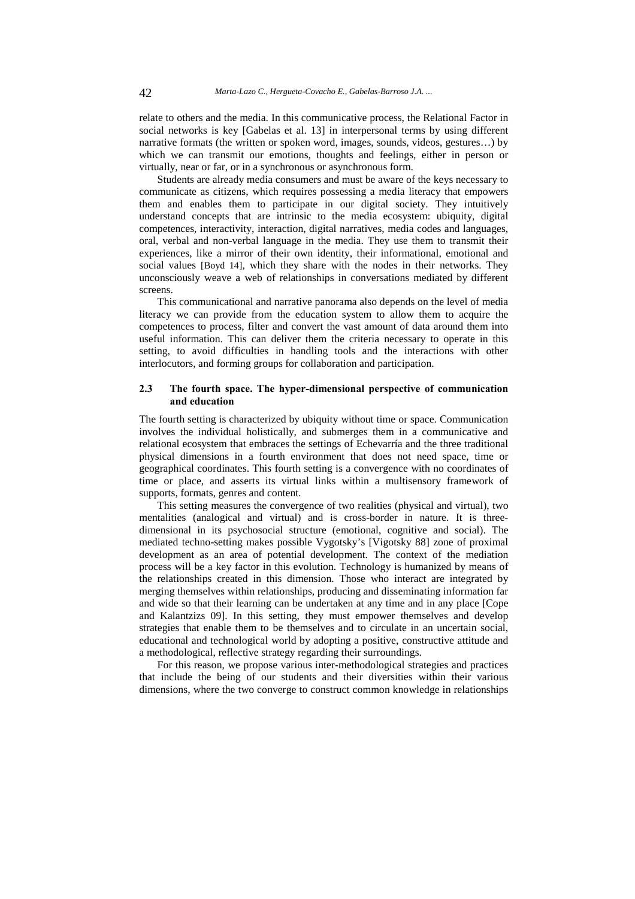relate to others and the media. In this communicative process, the Relational Factor in social networks is key [Gabelas et al. 13] in interpersonal terms by using different narrative formats (the written or spoken word, images, sounds, videos, gestures…) by which we can transmit our emotions, thoughts and feelings, either in person or virtually, near or far, or in a synchronous or asynchronous form.

Students are already media consumers and must be aware of the keys necessary to communicate as citizens, which requires possessing a media literacy that empowers them and enables them to participate in our digital society. They intuitively understand concepts that are intrinsic to the media ecosystem: ubiquity, digital competences, interactivity, interaction, digital narratives, media codes and languages, oral, verbal and non-verbal language in the media. They use them to transmit their experiences, like a mirror of their own identity, their informational, emotional and social values [Boyd 14], which they share with the nodes in their networks. They unconsciously weave a web of relationships in conversations mediated by different screens.

This communicational and narrative panorama also depends on the level of media literacy we can provide from the education system to allow them to acquire the competences to process, filter and convert the vast amount of data around them into useful information. This can deliver them the criteria necessary to operate in this setting, to avoid difficulties in handling tools and the interactions with other interlocutors, and forming groups for collaboration and participation.

#### **2.3 The fourth space. The hyper-dimensional perspective of communication and education**

The fourth setting is characterized by ubiquity without time or space. Communication involves the individual holistically, and submerges them in a communicative and relational ecosystem that embraces the settings of Echevarría and the three traditional physical dimensions in a fourth environment that does not need space, time or geographical coordinates. This fourth setting is a convergence with no coordinates of time or place, and asserts its virtual links within a multisensory framework of supports, formats, genres and content.

This setting measures the convergence of two realities (physical and virtual), two mentalities (analogical and virtual) and is cross-border in nature. It is threedimensional in its psychosocial structure (emotional, cognitive and social). The mediated techno-setting makes possible Vygotsky's [Vigotsky 88] zone of proximal development as an area of potential development. The context of the mediation process will be a key factor in this evolution. Technology is humanized by means of the relationships created in this dimension. Those who interact are integrated by merging themselves within relationships, producing and disseminating information far and wide so that their learning can be undertaken at any time and in any place [Cope and Kalantzizs 09]. In this setting, they must empower themselves and develop strategies that enable them to be themselves and to circulate in an uncertain social, educational and technological world by adopting a positive, constructive attitude and a methodological, reflective strategy regarding their surroundings.

For this reason, we propose various inter-methodological strategies and practices that include the being of our students and their diversities within their various dimensions, where the two converge to construct common knowledge in relationships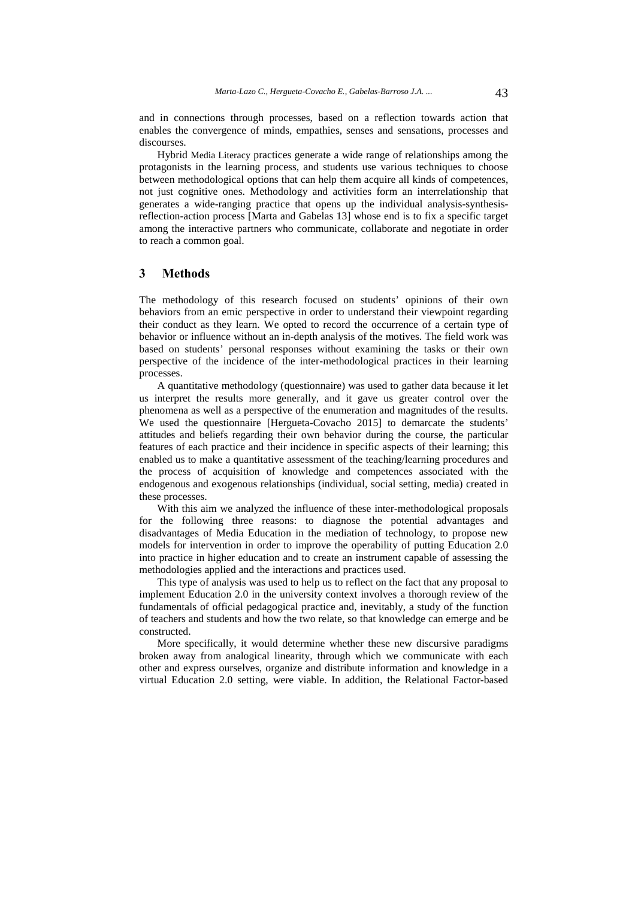and in connections through processes, based on a reflection towards action that enables the convergence of minds, empathies, senses and sensations, processes and discourses.

Hybrid Media Literacy practices generate a wide range of relationships among the protagonists in the learning process, and students use various techniques to choose between methodological options that can help them acquire all kinds of competences, not just cognitive ones. Methodology and activities form an interrelationship that generates a wide-ranging practice that opens up the individual analysis-synthesisreflection-action process [Marta and Gabelas 13] whose end is to fix a specific target among the interactive partners who communicate, collaborate and negotiate in order to reach a common goal.

### **3 Methods**

The methodology of this research focused on students' opinions of their own behaviors from an emic perspective in order to understand their viewpoint regarding their conduct as they learn. We opted to record the occurrence of a certain type of behavior or influence without an in-depth analysis of the motives. The field work was based on students' personal responses without examining the tasks or their own perspective of the incidence of the inter-methodological practices in their learning processes.

A quantitative methodology (questionnaire) was used to gather data because it let us interpret the results more generally, and it gave us greater control over the phenomena as well as a perspective of the enumeration and magnitudes of the results. We used the questionnaire [Hergueta-Covacho 2015] to demarcate the students' attitudes and beliefs regarding their own behavior during the course, the particular features of each practice and their incidence in specific aspects of their learning; this enabled us to make a quantitative assessment of the teaching/learning procedures and the process of acquisition of knowledge and competences associated with the endogenous and exogenous relationships (individual, social setting, media) created in these processes.

With this aim we analyzed the influence of these inter-methodological proposals for the following three reasons: to diagnose the potential advantages and disadvantages of Media Education in the mediation of technology, to propose new models for intervention in order to improve the operability of putting Education 2.0 into practice in higher education and to create an instrument capable of assessing the methodologies applied and the interactions and practices used.

This type of analysis was used to help us to reflect on the fact that any proposal to implement Education 2.0 in the university context involves a thorough review of the fundamentals of official pedagogical practice and, inevitably, a study of the function of teachers and students and how the two relate, so that knowledge can emerge and be constructed.

More specifically, it would determine whether these new discursive paradigms broken away from analogical linearity, through which we communicate with each other and express ourselves, organize and distribute information and knowledge in a virtual Education 2.0 setting, were viable. In addition, the Relational Factor-based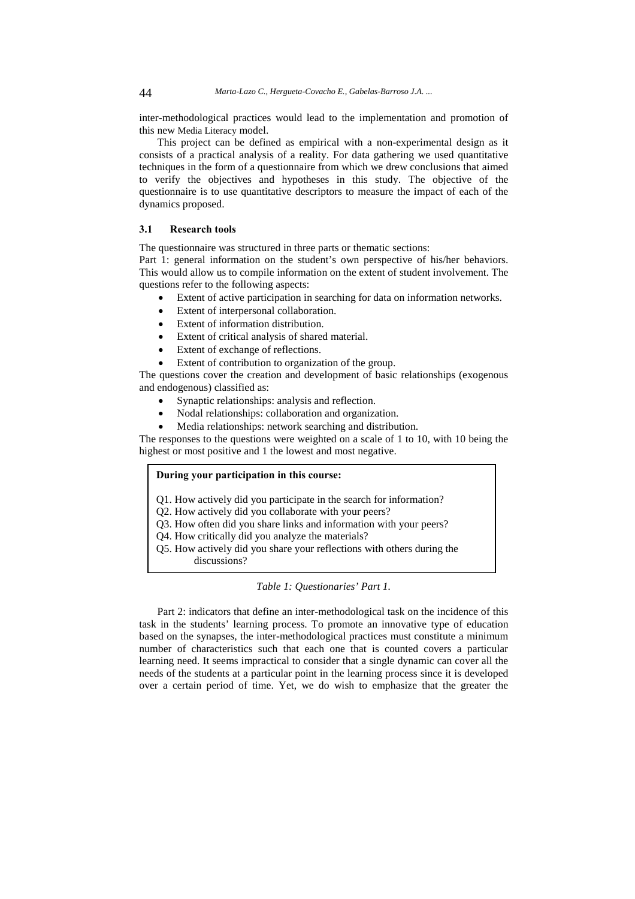inter-methodological practices would lead to the implementation and promotion of this new Media Literacy model.

This project can be defined as empirical with a non-experimental design as it consists of a practical analysis of a reality. For data gathering we used quantitative techniques in the form of a questionnaire from which we drew conclusions that aimed to verify the objectives and hypotheses in this study. The objective of the questionnaire is to use quantitative descriptors to measure the impact of each of the dynamics proposed.

#### **3.1 Research tools**

The questionnaire was structured in three parts or thematic sections:

Part 1: general information on the student's own perspective of his/her behaviors. This would allow us to compile information on the extent of student involvement. The questions refer to the following aspects:

- Extent of active participation in searching for data on information networks.
- Extent of interpersonal collaboration.
- Extent of information distribution.
- Extent of critical analysis of shared material.
- Extent of exchange of reflections.
- Extent of contribution to organization of the group.

The questions cover the creation and development of basic relationships (exogenous and endogenous) classified as:

- Synaptic relationships: analysis and reflection.
- Nodal relationships: collaboration and organization.
- Media relationships: network searching and distribution.

The responses to the questions were weighted on a scale of 1 to 10, with 10 being the highest or most positive and 1 the lowest and most negative.

#### **During your participation in this course:**

- Q1. How actively did you participate in the search for information?
- Q2. How actively did you collaborate with your peers?
- Q3. How often did you share links and information with your peers?
- Q4. How critically did you analyze the materials?
- Q5. How actively did you share your reflections with others during the discussions?

#### *Table 1: Questionaries' Part 1.*

Part 2: indicators that define an inter-methodological task on the incidence of this task in the students' learning process. To promote an innovative type of education based on the synapses, the inter-methodological practices must constitute a minimum number of characteristics such that each one that is counted covers a particular learning need. It seems impractical to consider that a single dynamic can cover all the needs of the students at a particular point in the learning process since it is developed over a certain period of time. Yet, we do wish to emphasize that the greater the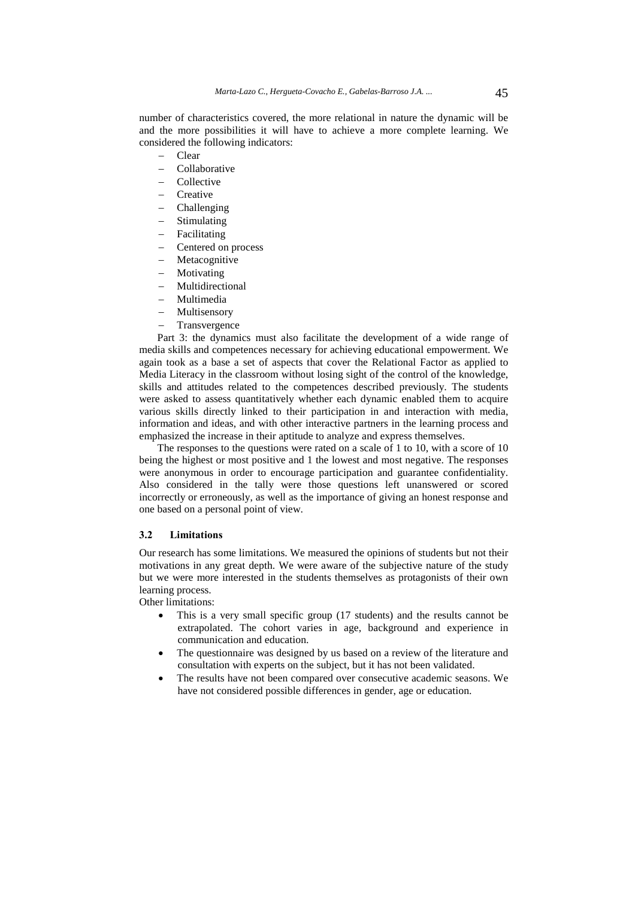number of characteristics covered, the more relational in nature the dynamic will be and the more possibilities it will have to achieve a more complete learning. We considered the following indicators:

- Clear
- Collaborative
- Collective
- **Creative**
- Challenging
- Stimulating
- Facilitating
- Centered on process
- Metacognitive
- Motivating
- Multidirectional
- Multimedia
- Multisensory
- Transvergence

Part 3: the dynamics must also facilitate the development of a wide range of media skills and competences necessary for achieving educational empowerment. We again took as a base a set of aspects that cover the Relational Factor as applied to Media Literacy in the classroom without losing sight of the control of the knowledge, skills and attitudes related to the competences described previously. The students were asked to assess quantitatively whether each dynamic enabled them to acquire various skills directly linked to their participation in and interaction with media, information and ideas, and with other interactive partners in the learning process and emphasized the increase in their aptitude to analyze and express themselves.

The responses to the questions were rated on a scale of 1 to 10, with a score of 10 being the highest or most positive and 1 the lowest and most negative. The responses were anonymous in order to encourage participation and guarantee confidentiality. Also considered in the tally were those questions left unanswered or scored incorrectly or erroneously, as well as the importance of giving an honest response and one based on a personal point of view.

### **3.2 Limitations**

Our research has some limitations. We measured the opinions of students but not their motivations in any great depth. We were aware of the subjective nature of the study but we were more interested in the students themselves as protagonists of their own learning process.

Other limitations:

- This is a very small specific group (17 students) and the results cannot be extrapolated. The cohort varies in age, background and experience in communication and education.
- The questionnaire was designed by us based on a review of the literature and consultation with experts on the subject, but it has not been validated.
- The results have not been compared over consecutive academic seasons. We have not considered possible differences in gender, age or education.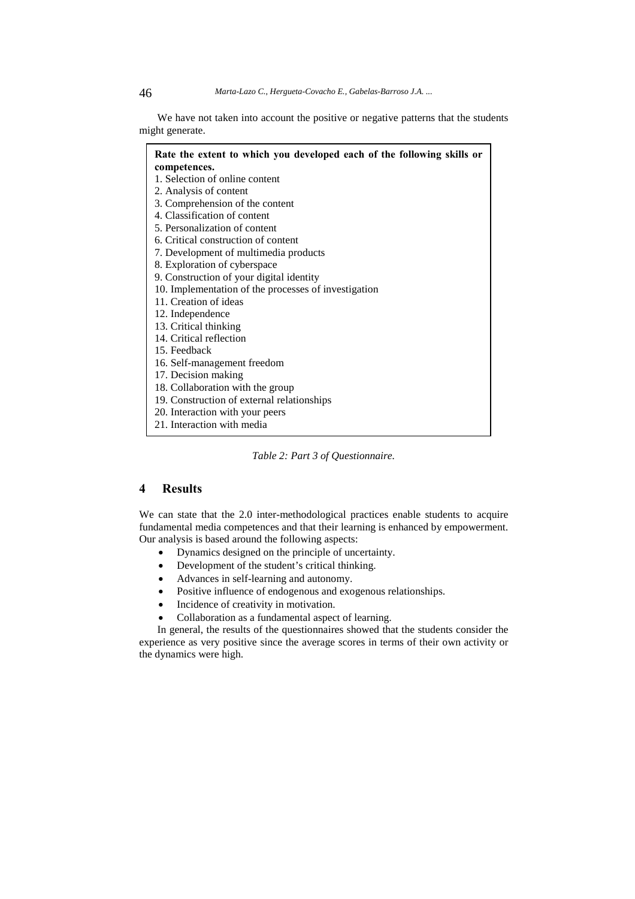We have not taken into account the positive or negative patterns that the students might generate.

| Rate the extent to which you developed each of the following skills or |
|------------------------------------------------------------------------|
| competences.                                                           |
| 1. Selection of online content                                         |
| 2. Analysis of content                                                 |
| 3. Comprehension of the content                                        |
| 4. Classification of content                                           |
| 5. Personalization of content                                          |
| 6. Critical construction of content                                    |
| 7. Development of multimedia products                                  |
| 8. Exploration of cyberspace                                           |
| 9. Construction of your digital identity                               |
| 10. Implementation of the processes of investigation                   |
| 11. Creation of ideas                                                  |
| 12. Independence                                                       |
| 13. Critical thinking                                                  |
| 14. Critical reflection                                                |
| 15. Feedback                                                           |
| 16. Self-management freedom                                            |
| 17. Decision making                                                    |
| 18. Collaboration with the group                                       |
| 19. Construction of external relationships                             |
| 20. Interaction with your peers                                        |
| 21. Interaction with media                                             |

*Table 2: Part 3 of Questionnaire.* 

### **4 Results**

We can state that the 2.0 inter-methodological practices enable students to acquire fundamental media competences and that their learning is enhanced by empowerment. Our analysis is based around the following aspects:

- Dynamics designed on the principle of uncertainty.
- Development of the student's critical thinking.
- Advances in self-learning and autonomy.
- Positive influence of endogenous and exogenous relationships.
- Incidence of creativity in motivation.
- Collaboration as a fundamental aspect of learning.

In general, the results of the questionnaires showed that the students consider the experience as very positive since the average scores in terms of their own activity or the dynamics were high.

 $\mathbf{r}$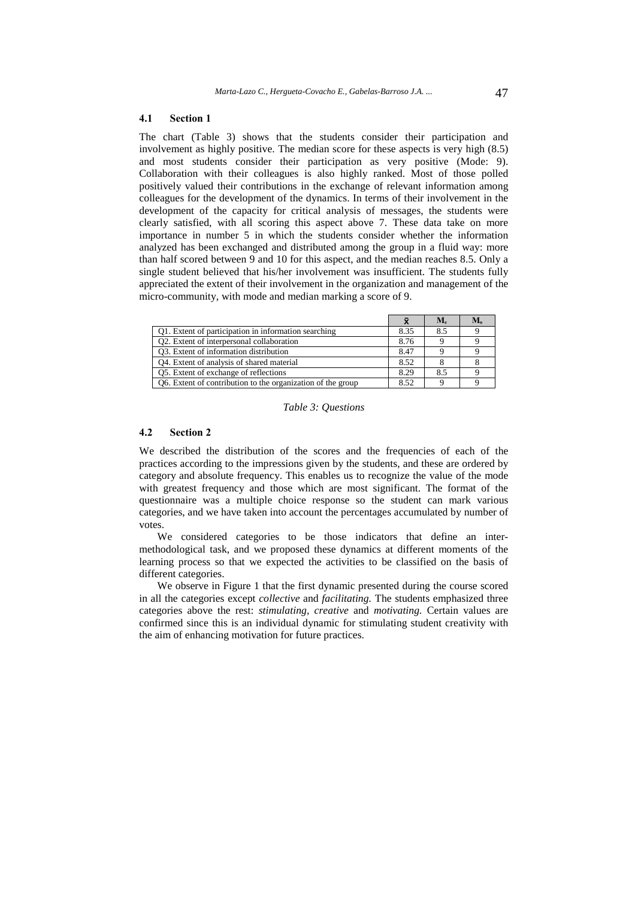#### **4.1 Section 1**

The chart (Table 3) shows that the students consider their participation and involvement as highly positive. The median score for these aspects is very high (8.5) and most students consider their participation as very positive (Mode: 9). Collaboration with their colleagues is also highly ranked. Most of those polled positively valued their contributions in the exchange of relevant information among colleagues for the development of the dynamics. In terms of their involvement in the development of the capacity for critical analysis of messages, the students were clearly satisfied, with all scoring this aspect above 7. These data take on more importance in number 5 in which the students consider whether the information analyzed has been exchanged and distributed among the group in a fluid way: more than half scored between 9 and 10 for this aspect, and the median reaches 8.5. Only a single student believed that his/her involvement was insufficient. The students fully appreciated the extent of their involvement in the organization and management of the micro-community, with mode and median marking a score of 9.

|                                                             |      | $M_{\rm e}$ | $M_{\alpha}$ |
|-------------------------------------------------------------|------|-------------|--------------|
| Q1. Extent of participation in information searching        | 8.35 | 8.5         |              |
| Q2. Extent of interpersonal collaboration                   | 8.76 |             |              |
| Q3. Extent of information distribution                      | 8.47 |             |              |
| Q4. Extent of analysis of shared material                   | 8.52 |             |              |
| Q5. Extent of exchange of reflections                       | 8.29 | 8.5         |              |
| Q6. Extent of contribution to the organization of the group | 8.52 |             |              |

*Table 3: Questions* 

#### **4.2 Section 2**

We described the distribution of the scores and the frequencies of each of the practices according to the impressions given by the students, and these are ordered by category and absolute frequency. This enables us to recognize the value of the mode with greatest frequency and those which are most significant. The format of the questionnaire was a multiple choice response so the student can mark various categories, and we have taken into account the percentages accumulated by number of votes.

We considered categories to be those indicators that define an intermethodological task, and we proposed these dynamics at different moments of the learning process so that we expected the activities to be classified on the basis of different categories.

We observe in Figure 1 that the first dynamic presented during the course scored in all the categories except *collective* and *facilitating.* The students emphasized three categories above the rest: *stimulating, creative* and *motivating.* Certain values are confirmed since this is an individual dynamic for stimulating student creativity with the aim of enhancing motivation for future practices.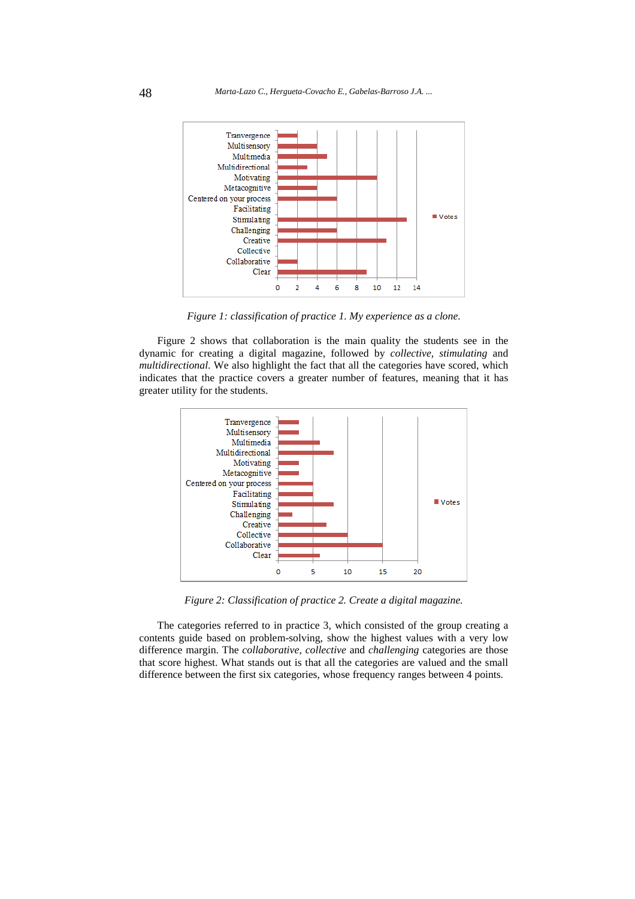

*Figure 1: classification of practice 1. My experience as a clone.* 

Figure 2 shows that collaboration is the main quality the students see in the dynamic for creating a digital magazine, followed by *collective, stimulating* and *multidirectional*. We also highlight the fact that all the categories have scored, which indicates that the practice covers a greater number of features, meaning that it has greater utility for the students.



*Figure 2: Classification of practice 2. Create a digital magazine.* 

The categories referred to in practice 3, which consisted of the group creating a contents guide based on problem-solving, show the highest values with a very low difference margin. The *collaborative, collective* and *challenging* categories are those that score highest. What stands out is that all the categories are valued and the small difference between the first six categories, whose frequency ranges between 4 points.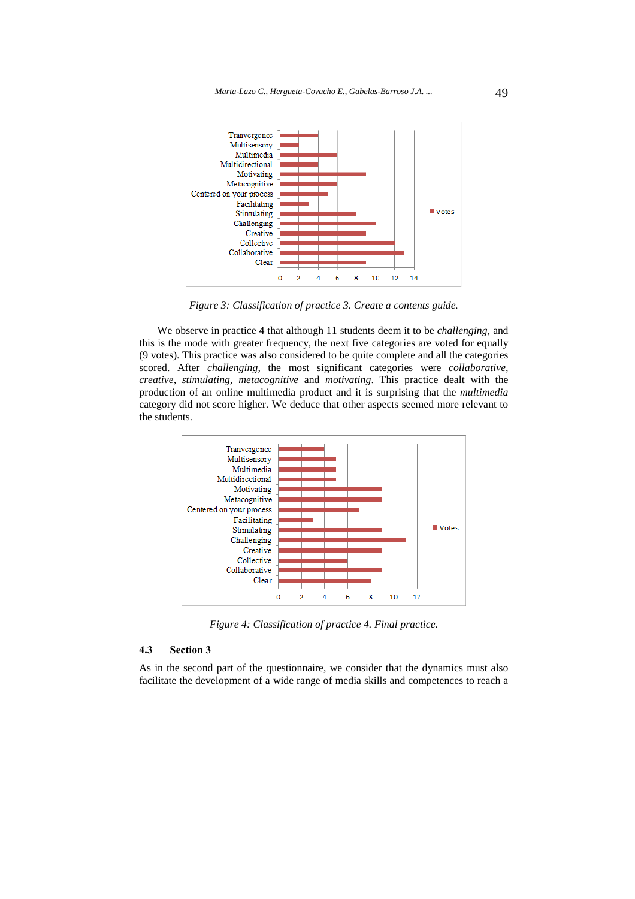

*Figure 3: Classification of practice 3. Create a contents guide.* 

We observe in practice 4 that although 11 students deem it to be *challenging,* and this is the mode with greater frequency, the next five categories are voted for equally (9 votes). This practice was also considered to be quite complete and all the categories scored. After *challenging,* the most significant categories were *collaborative, creative, stimulating, metacognitive* and *motivating*. This practice dealt with the production of an online multimedia product and it is surprising that the *multimedia* category did not score higher. We deduce that other aspects seemed more relevant to the students.



*Figure 4: Classification of practice 4. Final practice.* 

#### **4.3 Section 3**

As in the second part of the questionnaire, we consider that the dynamics must also facilitate the development of a wide range of media skills and competences to reach a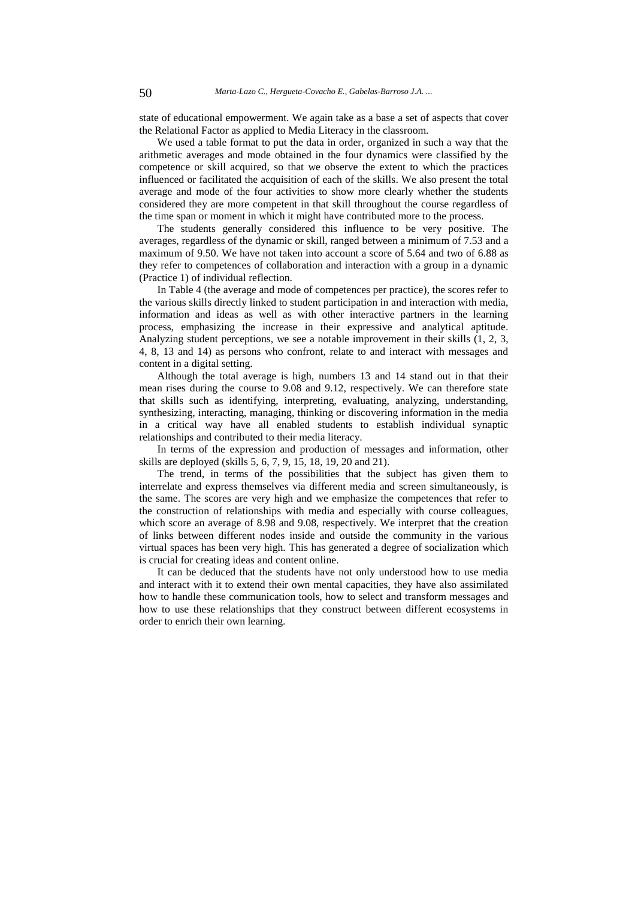state of educational empowerment. We again take as a base a set of aspects that cover the Relational Factor as applied to Media Literacy in the classroom.

We used a table format to put the data in order, organized in such a way that the arithmetic averages and mode obtained in the four dynamics were classified by the competence or skill acquired, so that we observe the extent to which the practices influenced or facilitated the acquisition of each of the skills. We also present the total average and mode of the four activities to show more clearly whether the students considered they are more competent in that skill throughout the course regardless of the time span or moment in which it might have contributed more to the process.

The students generally considered this influence to be very positive. The averages, regardless of the dynamic or skill, ranged between a minimum of 7.53 and a maximum of 9.50. We have not taken into account a score of 5.64 and two of 6.88 as they refer to competences of collaboration and interaction with a group in a dynamic (Practice 1) of individual reflection.

In Table 4 (the average and mode of competences per practice), the scores refer to the various skills directly linked to student participation in and interaction with media, information and ideas as well as with other interactive partners in the learning process, emphasizing the increase in their expressive and analytical aptitude. Analyzing student perceptions, we see a notable improvement in their skills (1, 2, 3, 4, 8, 13 and 14) as persons who confront, relate to and interact with messages and content in a digital setting.

Although the total average is high, numbers 13 and 14 stand out in that their mean rises during the course to 9.08 and 9.12, respectively. We can therefore state that skills such as identifying, interpreting, evaluating, analyzing, understanding, synthesizing, interacting, managing, thinking or discovering information in the media in a critical way have all enabled students to establish individual synaptic relationships and contributed to their media literacy.

In terms of the expression and production of messages and information, other skills are deployed (skills 5, 6, 7, 9, 15, 18, 19, 20 and 21).

The trend, in terms of the possibilities that the subject has given them to interrelate and express themselves via different media and screen simultaneously, is the same. The scores are very high and we emphasize the competences that refer to the construction of relationships with media and especially with course colleagues, which score an average of 8.98 and 9.08, respectively. We interpret that the creation of links between different nodes inside and outside the community in the various virtual spaces has been very high. This has generated a degree of socialization which is crucial for creating ideas and content online.

It can be deduced that the students have not only understood how to use media and interact with it to extend their own mental capacities, they have also assimilated how to handle these communication tools, how to select and transform messages and how to use these relationships that they construct between different ecosystems in order to enrich their own learning.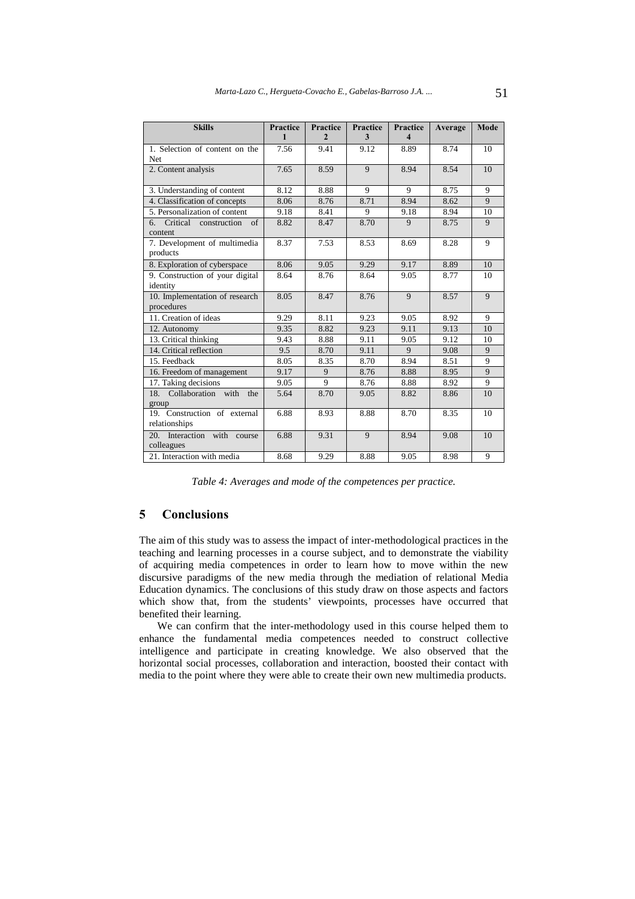| <b>Skills</b>                                        | <b>Practice</b> | <b>Practice</b> | <b>Practice</b> | <b>Practice</b> | Average | <b>Mode</b>    |
|------------------------------------------------------|-----------------|-----------------|-----------------|-----------------|---------|----------------|
|                                                      | 1               | $\mathfrak{D}$  | 3               | 4               |         |                |
| 1. Selection of content on the<br>Net                | 7.56            | 9.41            | 9.12            | 8.89            | 8.74    | 10             |
| 2. Content analysis                                  | 7.65            | 8.59            | 9               | 8.94            | 8.54    | 10             |
| 3. Understanding of content                          | 8.12            | 8.88            | 9               | 9               | 8.75    | 9              |
| 4. Classification of concepts                        | 8.06            | 8.76            | 8.71            | 8.94            | 8.62    | 9              |
| 5. Personalization of content                        | 9.18            | 8.41            | 9               | 9.18            | 8.94    | 10             |
| Critical construction<br>$\sigma$ f<br>6.<br>content | 8.82            | 8.47            | 8.70            | 9               | 8.75    | $\overline{9}$ |
| 7. Development of multimedia<br>products             | 8.37            | 7.53            | 8.53            | 8.69            | 8.28    | 9              |
| 8. Exploration of cyberspace                         | 8.06            | 9.05            | 9.29            | 9.17            | 8.89    | 10             |
| 9. Construction of your digital<br>identity          | 8.64            | 8.76            | 8.64            | 9.05            | 8.77    | 10             |
| 10. Implementation of research<br>procedures         | 8.05            | 8.47            | 8.76            | 9               | 8.57    | 9              |
| 11. Creation of ideas                                | 9.29            | 8.11            | 9.23            | 9.05            | 8.92    | 9              |
| 12. Autonomy                                         | 9.35            | 8.82            | 9.23            | 9.11            | 9.13    | 10             |
| 13. Critical thinking                                | 9.43            | 8.88            | 9.11            | 9.05            | 9.12    | 10             |
| 14. Critical reflection                              | 9.5             | 8.70            | 9.11            | 9               | 9.08    | 9              |
| 15. Feedback                                         | 8.05            | 8.35            | 8.70            | 8.94            | 8.51    | 9              |
| 16. Freedom of management                            | 9.17            | 9               | 8.76            | 8.88            | 8.95    | $\overline{9}$ |
| 17. Taking decisions                                 | 9.05            | 9               | 8.76            | 8.88            | 8.92    | 9              |
| Collaboration with<br>18.<br>the<br>group            | 5.64            | 8.70            | 9.05            | 8.82            | 8.86    | 10             |
| 19. Construction of external<br>relationships        | 6.88            | 8.93            | 8.88            | 8.70            | 8.35    | 10             |
| 20. Interaction with course<br>colleagues            | 6.88            | 9.31            | 9               | 8.94            | 9.08    | 10             |
| 21. Interaction with media                           | 8.68            | 9.29            | 8.88            | 9.05            | 8.98    | 9              |

*Table 4: Averages and mode of the competences per practice.* 

## **5 Conclusions**

The aim of this study was to assess the impact of inter-methodological practices in the teaching and learning processes in a course subject, and to demonstrate the viability of acquiring media competences in order to learn how to move within the new discursive paradigms of the new media through the mediation of relational Media Education dynamics. The conclusions of this study draw on those aspects and factors which show that, from the students' viewpoints, processes have occurred that benefited their learning.

We can confirm that the inter-methodology used in this course helped them to enhance the fundamental media competences needed to construct collective intelligence and participate in creating knowledge. We also observed that the horizontal social processes, collaboration and interaction, boosted their contact with media to the point where they were able to create their own new multimedia products.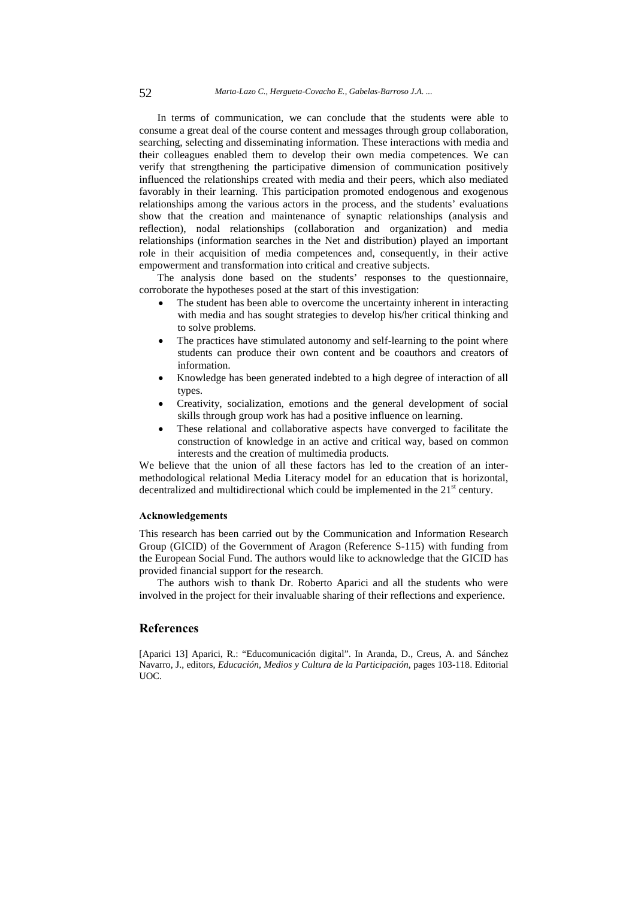In terms of communication, we can conclude that the students were able to consume a great deal of the course content and messages through group collaboration, searching, selecting and disseminating information. These interactions with media and their colleagues enabled them to develop their own media competences. We can verify that strengthening the participative dimension of communication positively influenced the relationships created with media and their peers, which also mediated favorably in their learning. This participation promoted endogenous and exogenous relationships among the various actors in the process, and the students' evaluations show that the creation and maintenance of synaptic relationships (analysis and reflection), nodal relationships (collaboration and organization) and media relationships (information searches in the Net and distribution) played an important role in their acquisition of media competences and, consequently, in their active empowerment and transformation into critical and creative subjects.

The analysis done based on the students' responses to the questionnaire, corroborate the hypotheses posed at the start of this investigation:

- The student has been able to overcome the uncertainty inherent in interacting with media and has sought strategies to develop his/her critical thinking and to solve problems.
- The practices have stimulated autonomy and self-learning to the point where students can produce their own content and be coauthors and creators of information.
- Knowledge has been generated indebted to a high degree of interaction of all types.
- Creativity, socialization, emotions and the general development of social skills through group work has had a positive influence on learning.
- These relational and collaborative aspects have converged to facilitate the construction of knowledge in an active and critical way, based on common interests and the creation of multimedia products.

We believe that the union of all these factors has led to the creation of an intermethodological relational Media Literacy model for an education that is horizontal, decentralized and multidirectional which could be implemented in the  $21<sup>st</sup>$  century.

#### **Acknowledgements**

This research has been carried out by the Communication and Information Research Group (GICID) of the Government of Aragon (Reference S-115) with funding from the European Social Fund. The authors would like to acknowledge that the GICID has provided financial support for the research.

The authors wish to thank Dr. Roberto Aparici and all the students who were involved in the project for their invaluable sharing of their reflections and experience.

### **References**

[Aparici 13] Aparici, R.: "Educomunicación digital". In Aranda, D., Creus, A. and Sánchez Navarro, J., editors, *Educación, Medios y Cultura de la Participación*, pages 103-118. Editorial UOC.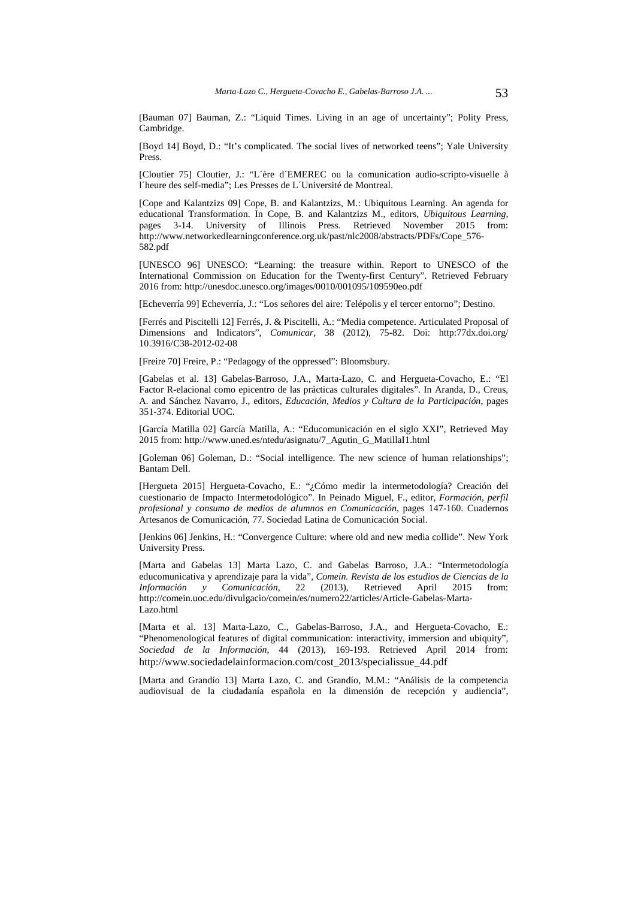[Bauman 07] Bauman, Z.: "Liquid Times. Living in an age of uncertainty"; Polity Press, Cambridge.

[Boyd 14] Boyd, D.: "It's complicated. The social lives of networked teens"; Yale University Press.

[Cloutier 75] Cloutier, J.: "L´ère d´EMEREC ou la comunication audio-scripto-visuelle à l´heure des self-media"; Les Presses de L´Université de Montreal.

[Cope and Kalantzizs 09] Cope, B. and Kalantzizs, M.: Ubiquitous Learning. An agenda for educational Transformation. In Cope, B. and Kalantzizs M., editors, *Ubiquitous Learning*, pages 3-14. University of Illinois Press. Retrieved November 2015 from: http://www.networkedlearningconference.org.uk/past/nlc2008/abstracts/PDFs/Cope\_576- 582.pdf

[UNESCO 96] UNESCO: "Learning: the treasure within. Report to UNESCO of the International Commission on Education for the Twenty-first Century". Retrieved February 2016 from: http://unesdoc.unesco.org/images/0010/001095/109590eo.pdf

[Echeverría 99] Echeverría, J.: "Los señores del aire: Telépolis y el tercer entorno"; Destino.

[Ferrés and Piscitelli 12] Ferrés, J. & Piscitelli, A.: "Media competence. Articulated Proposal of Dimensions and Indicators", *Comunicar*, 38 (2012), 75-82. Doi: http:77dx.doi.org/ 10.3916/C38-2012-02-08

[Freire 70] Freire, P.: "Pedagogy of the oppressed": Bloomsbury.

[Gabelas et al. 13] Gabelas-Barroso, J.A., Marta-Lazo, C. and Hergueta-Covacho, E.: "El Factor R-elacional como epicentro de las prácticas culturales digitales". In Aranda, D., Creus, A. and Sánchez Navarro, J., editors, *Educación, Medios y Cultura de la Participación*, pages 351-374. Editorial UOC.

[García Matilla 02] García Matilla, A.: "Educomunicación en el siglo XXI", Retrieved May 2015 from: http://www.uned.es/ntedu/asignatu/7\_Agutin\_G\_MatillaI1.html

[Goleman 06] Goleman, D.: "Social intelligence. The new science of human relationships"; Bantam Dell.

[Hergueta 2015] Hergueta-Covacho, E.: "¿Cómo medir la intermetodología? Creación del cuestionario de Impacto Intermetodológico". In Peinado Miguel, F., editor, *Formación, perfil profesional y consumo de medios de alumnos en Comunicación*, pages 147-160. Cuadernos Artesanos de Comunicación, 77. Sociedad Latina de Comunicación Social.

[Jenkins 06] Jenkins, H.: "Convergence Culture: where old and new media collide". New York University Press.

[Marta and Gabelas 13] Marta Lazo, C. and Gabelas Barroso, J.A.: "Intermetodología educomunicativa y aprendizaje para la vida", *Comein. Revista de los estudios de Ciencias de la Información y Comunicación*, 22 (2013), Retrieved April 2015 from: http://comein.uoc.edu/divulgacio/comein/es/numero22/articles/Article-Gabelas-Marta-Lazo.html

[Marta et al. 13] Marta-Lazo, C., Gabelas-Barroso, J.A., and Hergueta-Covacho, E.: "Phenomenological features of digital communication: interactivity, immersion and ubiquity", *Sociedad de la Información*, 44 (2013), 169-193. Retrieved April 2014 from: http://www.sociedadelainformacion.com/cost\_2013/specialissue\_44.pdf

[Marta and Grandío 13] Marta Lazo, C. and Grandío, M.M.: "Análisis de la competencia audiovisual de la ciudadanía española en la dimensión de recepción y audiencia",